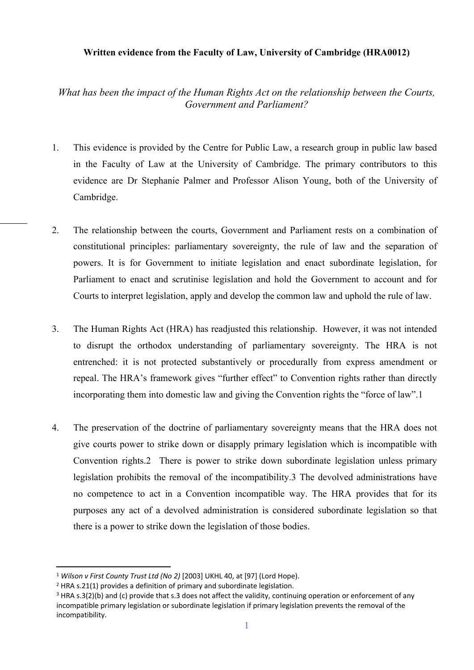## **Written evidence from the Faculty of Law, University of Cambridge (HRA0012)**

*What has been the impact of the Human Rights Act on the relationship between the Courts, Government and Parliament?*

- 1. This evidence is provided by the Centre for Public Law, a research group in public law based in the Faculty of Law at the University of Cambridge. The primary contributors to this evidence are Dr Stephanie Palmer and Professor Alison Young, both of the University of Cambridge.
- 2. The relationship between the courts, Government and Parliament rests on a combination of constitutional principles: parliamentary sovereignty, the rule of law and the separation of powers. It is for Government to initiate legislation and enact subordinate legislation, for Parliament to enact and scrutinise legislation and hold the Government to account and for Courts to interpret legislation, apply and develop the common law and uphold the rule of law.
- 3. The Human Rights Act (HRA) has readjusted this relationship. However, it was not intended to disrupt the orthodox understanding of parliamentary sovereignty. The HRA is not entrenched: it is not protected substantively or procedurally from express amendment or repeal. The HRA's framework gives "further effect" to Convention rights rather than directly incorporating them into domestic law and giving the Convention rights the "force of law".1
- 4. The preservation of the doctrine of parliamentary sovereignty means that the HRA does not give courts power to strike down or disapply primary legislation which is incompatible with Convention rights.2 There is power to strike down subordinate legislation unless primary legislation prohibits the removal of the incompatibility.3 The devolved administrations have no competence to act in a Convention incompatible way. The HRA provides that for its purposes any act of a devolved administration is considered subordinate legislation so that there is a power to strike down the legislation of those bodies.

<sup>1</sup> *Wilson v First County Trust Ltd (No 2)* [2003] UKHL 40, at [97] (Lord Hope).

<sup>&</sup>lt;sup>2</sup> HRA s.21(1) provides a definition of primary and subordinate legislation.

<sup>&</sup>lt;sup>3</sup> HRA s.3(2)(b) and (c) provide that s.3 does not affect the validity, continuing operation or enforcement of any incompatible primary legislation or subordinate legislation if primary legislation prevents the removal of the incompatibility.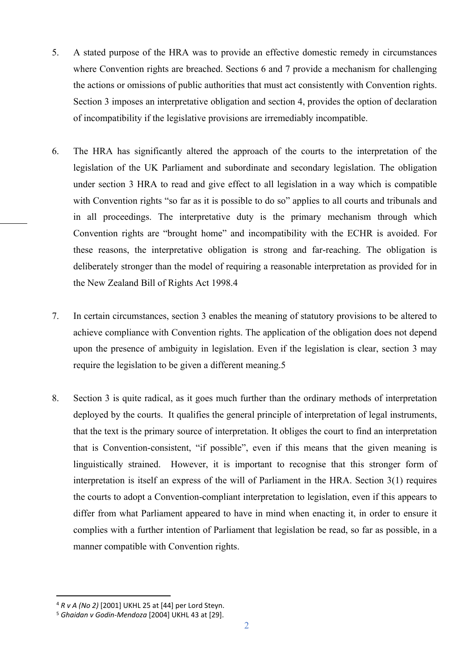- 5. A stated purpose of the HRA was to provide an effective domestic remedy in circumstances where Convention rights are breached. Sections 6 and 7 provide a mechanism for challenging the actions or omissions of public authorities that must act consistently with Convention rights. Section 3 imposes an interpretative obligation and section 4, provides the option of declaration of incompatibility if the legislative provisions are irremediably incompatible.
- 6. The HRA has significantly altered the approach of the courts to the interpretation of the legislation of the UK Parliament and subordinate and secondary legislation. The obligation under section 3 HRA to read and give effect to all legislation in a way which is compatible with Convention rights "so far as it is possible to do so" applies to all courts and tribunals and in all proceedings. The interpretative duty is the primary mechanism through which Convention rights are "brought home" and incompatibility with the ECHR is avoided. For these reasons, the interpretative obligation is strong and far-reaching. The obligation is deliberately stronger than the model of requiring a reasonable interpretation as provided for in the New Zealand Bill of Rights Act 1998.4
- 7. In certain circumstances, section 3 enables the meaning of statutory provisions to be altered to achieve compliance with Convention rights. The application of the obligation does not depend upon the presence of ambiguity in legislation. Even if the legislation is clear, section 3 may require the legislation to be given a different meaning.5
- 8. Section 3 is quite radical, as it goes much further than the ordinary methods of interpretation deployed by the courts. It qualifies the general principle of interpretation of legal instruments, that the text is the primary source of interpretation. It obliges the court to find an interpretation that is Convention-consistent, "if possible", even if this means that the given meaning is linguistically strained. However, it is important to recognise that this stronger form of interpretation is itself an express of the will of Parliament in the HRA. Section 3(1) requires the courts to adopt a Convention-compliant interpretation to legislation, even if this appears to differ from what Parliament appeared to have in mind when enacting it, in order to ensure it complies with a further intention of Parliament that legislation be read, so far as possible, in a manner compatible with Convention rights.

<sup>4</sup> *R v A (No 2)* [2001] UKHL 25 at [44] per Lord Steyn.

<sup>5</sup> *Ghaidan v Godin-Mendoza* [2004] UKHL 43 at [29].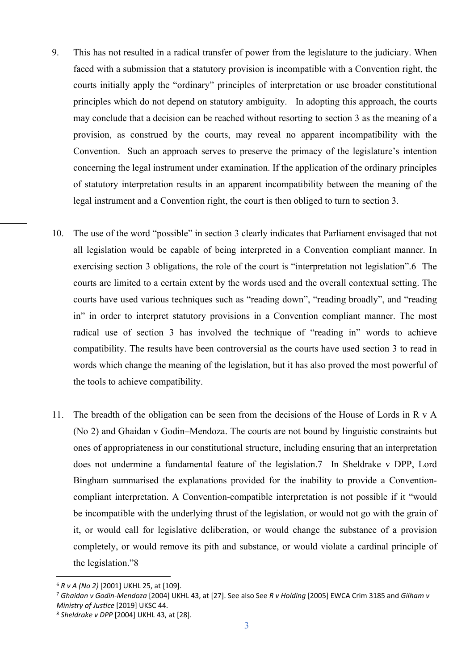- 9. This has not resulted in a radical transfer of power from the legislature to the judiciary. When faced with a submission that a statutory provision is incompatible with a Convention right, the courts initially apply the "ordinary" principles of interpretation or use broader constitutional principles which do not depend on statutory ambiguity. In adopting this approach, the courts may conclude that a decision can be reached without resorting to section 3 as the meaning of a provision, as construed by the courts, may reveal no apparent incompatibility with the Convention. Such an approach serves to preserve the primacy of the legislature's intention concerning the legal instrument under examination. If the application of the ordinary principles of statutory interpretation results in an apparent incompatibility between the meaning of the legal instrument and a Convention right, the court is then obliged to turn to section 3.
- 10. The use of the word "possible" in section 3 clearly indicates that Parliament envisaged that not all legislation would be capable of being interpreted in a Convention compliant manner. In exercising section 3 obligations, the role of the court is "interpretation not legislation".6 The courts are limited to a certain extent by the words used and the overall contextual setting. The courts have used various techniques such as "reading down", "reading broadly", and "reading in" in order to interpret statutory provisions in a Convention compliant manner. The most radical use of section 3 has involved the technique of "reading in" words to achieve compatibility. The results have been controversial as the courts have used section 3 to read in words which change the meaning of the legislation, but it has also proved the most powerful of the tools to achieve compatibility.
- 11. The breadth of the obligation can be seen from the decisions of the House of Lords in R v A (No 2) and Ghaidan v Godin–Mendoza. The courts are not bound by linguistic constraints but ones of appropriateness in our constitutional structure, including ensuring that an interpretation does not undermine a fundamental feature of the legislation.7 In Sheldrake v DPP, Lord Bingham summarised the explanations provided for the inability to provide a Conventioncompliant interpretation. A Convention-compatible interpretation is not possible if it "would be incompatible with the underlying thrust of the legislation, or would not go with the grain of it, or would call for legislative deliberation, or would change the substance of a provision completely, or would remove its pith and substance, or would violate a cardinal principle of the legislation."8

<sup>6</sup> *R v A (No 2)* [2001] UKHL 25, at [109].

<sup>7</sup> *Ghaidan v Godin-Mendoza* [2004] UKHL 43, at [27]. See also See *R v Holding* [2005] EWCA Crim 3185 and *Gilham v Ministry of Justice* [2019] UKSC 44.

<sup>8</sup> *Sheldrake v DPP* [2004] UKHL 43, at [28].